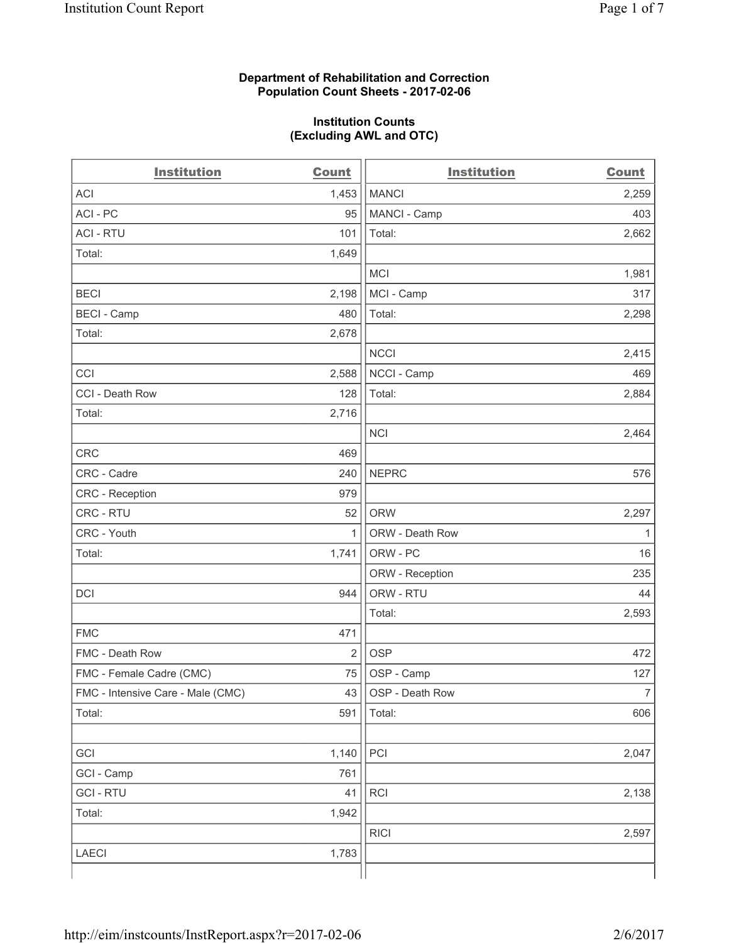#### **Department of Rehabilitation and Correction Population Count Sheets - 2017-02-06**

#### **Institution Counts (Excluding AWL and OTC)**

| <b>Institution</b>                | <b>Count</b>   | <b>Institution</b> | <b>Count</b>   |
|-----------------------------------|----------------|--------------------|----------------|
| <b>ACI</b>                        | 1,453          | <b>MANCI</b>       | 2,259          |
| ACI-PC                            | 95             | MANCI - Camp       | 403            |
| <b>ACI - RTU</b>                  | 101            | Total:             | 2,662          |
| Total:                            | 1,649          |                    |                |
|                                   |                | <b>MCI</b>         | 1,981          |
| <b>BECI</b>                       | 2,198          | MCI - Camp         | 317            |
| <b>BECI</b> - Camp                | 480            | Total:             | 2,298          |
| Total:                            | 2,678          |                    |                |
|                                   |                | <b>NCCI</b>        | 2,415          |
| CCI                               | 2,588          | NCCI - Camp        | 469            |
| CCI - Death Row                   | 128            | Total:             | 2,884          |
| Total:                            | 2,716          |                    |                |
|                                   |                | <b>NCI</b>         | 2,464          |
| <b>CRC</b>                        | 469            |                    |                |
| CRC - Cadre                       | 240            | <b>NEPRC</b>       | 576            |
| CRC - Reception                   | 979            |                    |                |
| CRC - RTU                         | 52             | <b>ORW</b>         | 2,297          |
| CRC - Youth                       | $\mathbf{1}$   | ORW - Death Row    | 1              |
| Total:                            | 1,741          | ORW - PC           | 16             |
|                                   |                | ORW - Reception    | 235            |
| DCI                               | 944            | ORW - RTU          | 44             |
|                                   |                | Total:             | 2,593          |
| <b>FMC</b>                        | 471            |                    |                |
| FMC - Death Row                   | $\overline{2}$ | <b>OSP</b>         | 472            |
| FMC - Female Cadre (CMC)          | 75             | OSP - Camp         | 127            |
| FMC - Intensive Care - Male (CMC) | 43             | OSP - Death Row    | $\overline{7}$ |
| Total:                            | 591            | Total:             | 606            |
|                                   |                |                    |                |
| GCI                               | 1,140          | PCI                | 2,047          |
| GCI - Camp                        | 761            |                    |                |
| <b>GCI - RTU</b>                  | 41             | RCI                | 2,138          |
| Total:                            | 1,942          |                    |                |
|                                   |                | <b>RICI</b>        | 2,597          |
| <b>LAECI</b>                      | 1,783          |                    |                |
|                                   |                |                    |                |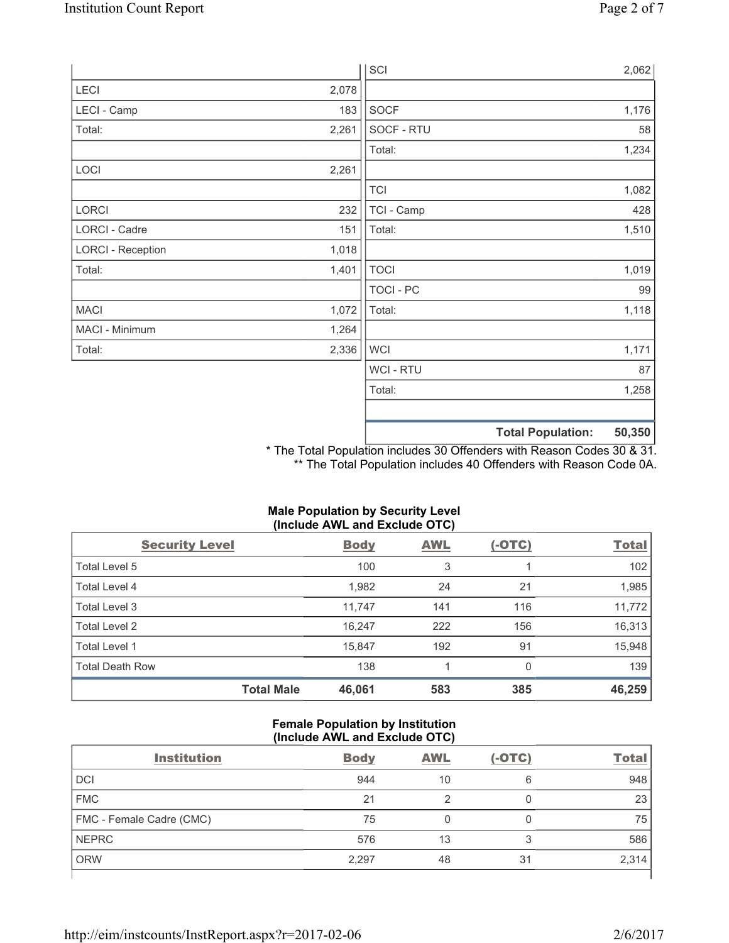|                          |       | SCI            |                          | 2,062  |
|--------------------------|-------|----------------|--------------------------|--------|
| LECI                     | 2,078 |                |                          |        |
| LECI - Camp              | 183   | SOCF           |                          | 1,176  |
| Total:                   | 2,261 | SOCF - RTU     |                          | 58     |
|                          |       | Total:         |                          | 1,234  |
| LOCI                     | 2,261 |                |                          |        |
|                          |       | <b>TCI</b>     |                          | 1,082  |
| LORCI                    | 232   | TCI - Camp     |                          | 428    |
| LORCI - Cadre            | 151   | Total:         |                          | 1,510  |
| <b>LORCI - Reception</b> | 1,018 |                |                          |        |
| Total:                   | 1,401 | <b>TOCI</b>    |                          | 1,019  |
|                          |       | TOCI - PC      |                          | 99     |
| <b>MACI</b>              | 1,072 | Total:         |                          | 1,118  |
| MACI - Minimum           | 1,264 |                |                          |        |
| Total:                   | 2,336 | <b>WCI</b>     |                          | 1,171  |
|                          |       | <b>WCI-RTU</b> |                          | 87     |
|                          |       | Total:         |                          | 1,258  |
|                          |       |                |                          |        |
|                          |       |                | <b>Total Population:</b> | 50,350 |

\* The Total Population includes 30 Offenders with Reason Codes 30 & 31. \*\* The Total Population includes 40 Offenders with Reason Code 0A.

| (Include AWL and Exclude OTC) |                   |             |            |               |              |  |
|-------------------------------|-------------------|-------------|------------|---------------|--------------|--|
| <b>Security Level</b>         |                   | <b>Body</b> | <b>AWL</b> | <u>(-OTC)</u> | <b>Total</b> |  |
| Total Level 5                 |                   | 100         | 3          |               | 102          |  |
| <b>Total Level 4</b>          |                   | 1,982       | 24         | 21            | 1,985        |  |
| <b>Total Level 3</b>          |                   | 11,747      | 141        | 116           | 11,772       |  |
| Total Level 2                 |                   | 16,247      | 222        | 156           | 16,313       |  |
| Total Level 1                 |                   | 15,847      | 192        | 91            | 15,948       |  |
| <b>Total Death Row</b>        |                   | 138         |            | $\Omega$      | 139          |  |
|                               | <b>Total Male</b> | 46,061      | 583        | 385           | 46,259       |  |

# **Male Population by Security Level**

## **Female Population by Institution (Include AWL and Exclude OTC)**

| <b>Institution</b>       | <b>Body</b> | <b>AWL</b> | $(-OTC)$ | <b>Total</b> |
|--------------------------|-------------|------------|----------|--------------|
| <b>DCI</b>               | 944         | 10         | 6        | 948          |
| <b>FMC</b>               | 21          |            |          | 23           |
| FMC - Female Cadre (CMC) | 75          |            |          | 75           |
| <b>NEPRC</b>             | 576         | 13         | 3        | 586          |
| <b>ORW</b>               | 2,297       | 48         | 31       | 2,314        |
|                          |             |            |          |              |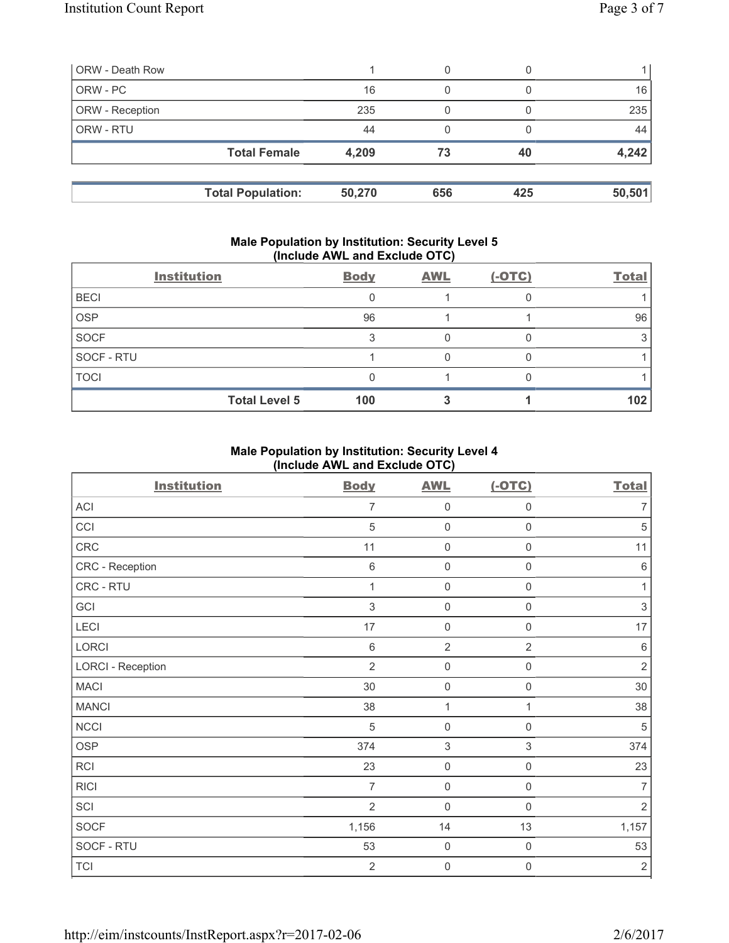| <b>ORW</b> - Death Row |                          |        | 0   |     |        |
|------------------------|--------------------------|--------|-----|-----|--------|
| ORW - PC               |                          | 16     | 0   |     | 16     |
| ORW - Reception        |                          | 235    | 0   |     | 235    |
| ORW - RTU              |                          | 44     | 0   |     | 44     |
|                        | <b>Total Female</b>      | 4,209  | 73  | 40  | 4,242  |
|                        |                          |        |     |     |        |
|                        | <b>Total Population:</b> | 50,270 | 656 | 425 | 50,501 |

#### **Male Population by Institution: Security Level 5 (Include AWL and Exclude OTC)**

|             | <b>Institution</b>   | <b>Body</b> | <b>AWL</b> | $(-OTC)$ | <b>Total</b> |
|-------------|----------------------|-------------|------------|----------|--------------|
| <b>BECI</b> |                      |             |            |          |              |
| <b>OSP</b>  |                      | 96          |            |          | 96           |
| <b>SOCF</b> |                      |             |            |          |              |
| SOCF - RTU  |                      |             |            |          |              |
| <b>TOCI</b> |                      |             |            |          |              |
|             | <b>Total Level 5</b> | 100         |            |          | 102          |

## **Male Population by Institution: Security Level 4 (Include AWL and Exclude OTC)**

| <b>Institution</b>       | <b>Body</b>               | <b>AWL</b>          | $(-OTC)$            | <b>Total</b>   |
|--------------------------|---------------------------|---------------------|---------------------|----------------|
| ACI                      | 7                         | $\mathbf 0$         | 0                   | 7              |
| CCI                      | 5                         | $\mathsf 0$         | $\mathsf 0$         | $\sqrt{5}$     |
| CRC                      | 11                        | $\mathsf 0$         | $\mathsf{O}\xspace$ | 11             |
| CRC - Reception          | $\,6\,$                   | $\mathsf{O}\xspace$ | 0                   | $\,6\,$        |
| CRC - RTU                | 1                         | $\mathbf 0$         | $\mathsf 0$         | 1              |
| GCI                      | $\ensuremath{\mathsf{3}}$ | $\mathbf 0$         | 0                   | $\sqrt{3}$     |
| LECI                     | 17                        | $\mathbf 0$         | $\mathbf 0$         | 17             |
| LORCI                    | 6                         | $\overline{2}$      | $\overline{2}$      | $\,6\,$        |
| <b>LORCI - Reception</b> | $\overline{2}$            | $\mathsf{O}\xspace$ | $\mathbf 0$         | $\overline{2}$ |
| <b>MACI</b>              | 30                        | $\mathbf 0$         | $\mathsf 0$         | 30             |
| <b>MANCI</b>             | 38                        | $\mathbf{1}$        | 1                   | 38             |
| <b>NCCI</b>              | 5                         | $\mathbf 0$         | 0                   | $\sqrt{5}$     |
| <b>OSP</b>               | 374                       | $\,$ 3 $\,$         | $\mathfrak{S}$      | 374            |
| RCI                      | 23                        | $\mathbf 0$         | $\mathsf 0$         | 23             |
| <b>RICI</b>              | $\overline{7}$            | $\mathbf 0$         | $\mathbf 0$         | $\overline{7}$ |
| SCI                      | $\overline{2}$            | $\mathbf 0$         | $\mathsf 0$         | 2              |
| <b>SOCF</b>              | 1,156                     | 14                  | 13                  | 1,157          |
| SOCF - RTU               | 53                        | $\mathsf{O}\xspace$ | $\mathsf{O}\xspace$ | 53             |
| <b>TCI</b>               | $\overline{2}$            | 0                   | 0                   | $\sqrt{2}$     |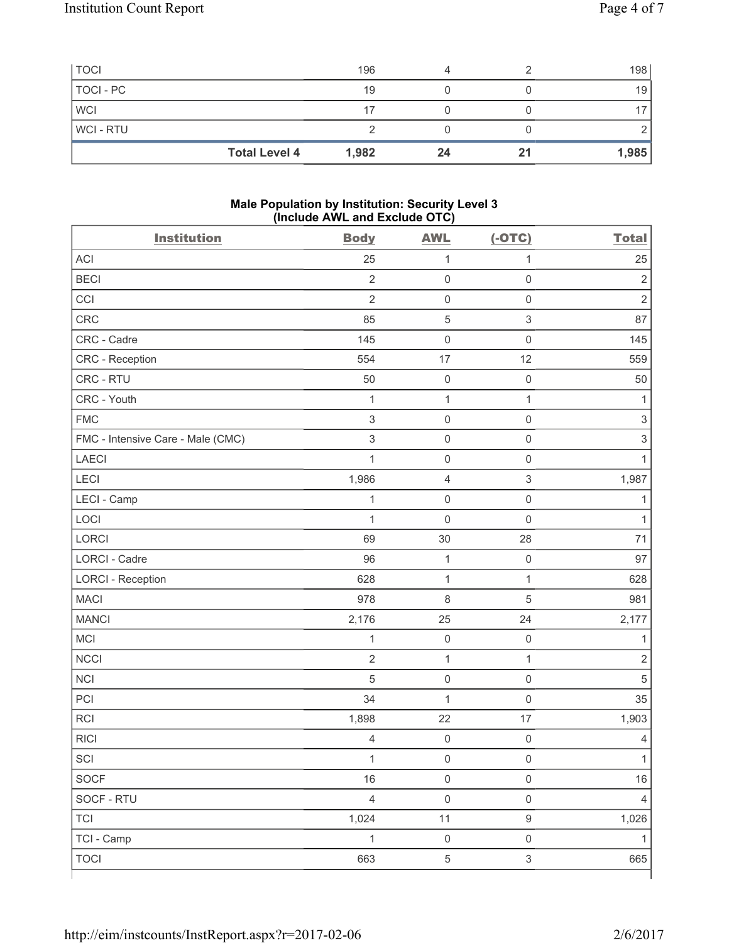|                | <b>Total Level 4</b> | 1,982 | 24 | 21 | 1,985 |
|----------------|----------------------|-------|----|----|-------|
| <b>WCI-RTU</b> |                      |       |    |    |       |
| <b>WCI</b>     |                      | 17    |    |    |       |
| TOCI - PC      |                      | 19    |    |    | 19    |
| <b>TOCI</b>    |                      | 196   |    |    | 198   |

#### **Male Population by Institution: Security Level 3 (Include AWL and Exclude OTC)**

| <b>Institution</b>                | <b>Body</b>    | <b>AWL</b>          | $(-OTC)$                  | <b>Total</b>              |
|-----------------------------------|----------------|---------------------|---------------------------|---------------------------|
| <b>ACI</b>                        | 25             | $\mathbf 1$         | $\mathbf{1}$              | 25                        |
| <b>BECI</b>                       | $\overline{2}$ | $\mathsf{O}\xspace$ | $\mathsf 0$               | $\mathbf 2$               |
| CCI                               | $\overline{2}$ | $\mathsf{O}\xspace$ | $\mathsf 0$               | $\overline{2}$            |
| CRC                               | 85             | $\sqrt{5}$          | $\ensuremath{\mathsf{3}}$ | 87                        |
| CRC - Cadre                       | 145            | $\mathsf{O}\xspace$ | $\mathsf 0$               | 145                       |
| CRC - Reception                   | 554            | 17                  | 12                        | 559                       |
| CRC - RTU                         | 50             | $\mathsf{O}\xspace$ | $\mathsf 0$               | 50                        |
| CRC - Youth                       | $\mathbf{1}$   | $\mathbf{1}$        | $\mathbf{1}$              | 1                         |
| <b>FMC</b>                        | 3              | $\mathsf{O}\xspace$ | $\mathsf 0$               | $\ensuremath{\mathsf{3}}$ |
| FMC - Intensive Care - Male (CMC) | $\sqrt{3}$     | $\mathsf{O}\xspace$ | $\mathsf{O}\xspace$       | $\mathsf 3$               |
| <b>LAECI</b>                      | $\mathbf{1}$   | $\mathsf{O}\xspace$ | $\mathsf 0$               | $\mathbf{1}$              |
| LECI                              | 1,986          | $\overline{4}$      | $\ensuremath{\mathsf{3}}$ | 1,987                     |
| LECI - Camp                       | $\mathbf{1}$   | $\mathsf 0$         | $\mathsf{O}\xspace$       | 1                         |
| LOCI                              | $\mathbf{1}$   | $\mathbf 0$         | $\mathsf 0$               | 1                         |
| LORCI                             | 69             | 30                  | 28                        | 71                        |
| <b>LORCI - Cadre</b>              | 96             | 1                   | $\mathsf{O}\xspace$       | 97                        |
| <b>LORCI - Reception</b>          | 628            | $\mathbf 1$         | $\mathbf{1}$              | 628                       |
| <b>MACI</b>                       | 978            | $\,8\,$             | $\sqrt{5}$                | 981                       |
| <b>MANCI</b>                      | 2,176          | 25                  | 24                        | 2,177                     |
| MCI                               | $\mathbf{1}$   | $\mathsf{O}\xspace$ | $\mathsf{O}\xspace$       | $\mathbf{1}$              |
| <b>NCCI</b>                       | $\overline{2}$ | 1                   | $\mathbf{1}$              | $\overline{2}$            |
| <b>NCI</b>                        | $\sqrt{5}$     | $\mathsf 0$         | $\mathsf 0$               | $\overline{5}$            |
| PCI                               | 34             | $\mathbf{1}$        | $\mathsf 0$               | 35                        |
| <b>RCI</b>                        | 1,898          | 22                  | 17                        | 1,903                     |
| <b>RICI</b>                       | $\overline{4}$ | $\mathsf{O}\xspace$ | $\mathsf{O}\xspace$       | $\overline{4}$            |
| SCI                               | $\mathbf{1}$   | $\mathsf{O}\xspace$ | $\mathsf{O}\xspace$       | 1                         |
| SOCF                              | 16             | $\mathsf{O}\xspace$ | $\mathsf{O}\xspace$       | 16                        |
| SOCF - RTU                        | $\overline{4}$ | $\mathsf{O}\xspace$ | $\mathsf 0$               | $\overline{4}$            |
| <b>TCI</b>                        | 1,024          | $11$                | $\boldsymbol{9}$          | 1,026                     |
| TCI - Camp                        | $\mathbf{1}$   | $\mathsf{O}\xspace$ | $\mathsf{O}\xspace$       | $\mathbf{1}$              |
| <b>TOCI</b>                       | 663            | $\,$ 5 $\,$         | $\ensuremath{\mathsf{3}}$ | 665                       |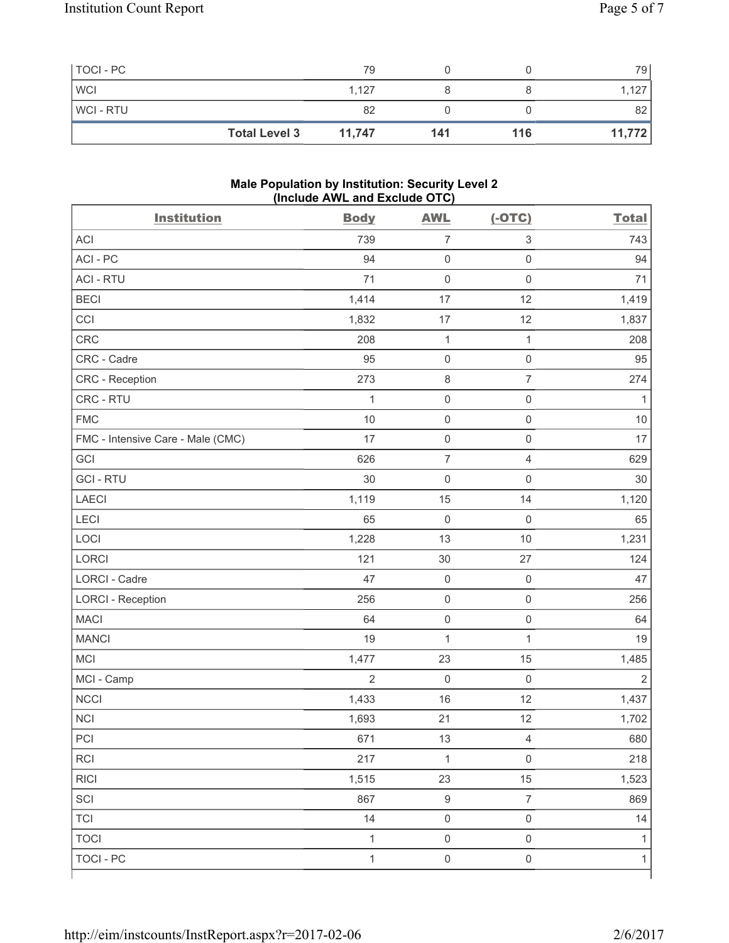| TOCI - PC      |                      | 79     |     |     | 79     |
|----------------|----------------------|--------|-----|-----|--------|
| <b>WCI</b>     |                      | 1.127  |     |     | 1,127  |
| <b>WCI-RTU</b> |                      | 82     |     |     | 82     |
|                | <b>Total Level 3</b> | 11,747 | 141 | 116 | 11,772 |

#### **Male Population by Institution: Security Level 2 (Include AWL and Exclude OTC)**

| <b>Institution</b>                | <b>Body</b>    | <b>AWL</b>          | $(-OTC)$            | <b>Total</b>   |
|-----------------------------------|----------------|---------------------|---------------------|----------------|
| <b>ACI</b>                        | 739            | $\overline{7}$      | $\mathsf 3$         | 743            |
| ACI-PC                            | 94             | $\mathsf{O}\xspace$ | $\mathsf{O}\xspace$ | 94             |
| <b>ACI - RTU</b>                  | 71             | $\mathsf 0$         | $\mathsf 0$         | 71             |
| <b>BECI</b>                       | 1,414          | 17                  | 12                  | 1,419          |
| CCI                               | 1,832          | 17                  | 12                  | 1,837          |
| CRC                               | 208            | $\mathbf{1}$        | $\mathbf{1}$        | 208            |
| CRC - Cadre                       | 95             | $\mathsf{O}\xspace$ | $\mathsf 0$         | 95             |
| CRC - Reception                   | 273            | $\,8\,$             | $\overline{7}$      | 274            |
| CRC - RTU                         | $\mathbf{1}$   | $\mathsf{O}\xspace$ | $\mathsf 0$         | 1              |
| <b>FMC</b>                        | 10             | $\mathsf 0$         | $\mathsf 0$         | 10             |
| FMC - Intensive Care - Male (CMC) | 17             | $\mathsf{O}\xspace$ | $\mathsf 0$         | 17             |
| GCI                               | 626            | $\overline{7}$      | $\overline{4}$      | 629            |
| <b>GCI-RTU</b>                    | 30             | $\mathsf 0$         | $\mathsf 0$         | 30             |
| <b>LAECI</b>                      | 1,119          | 15                  | 14                  | 1,120          |
| LECI                              | 65             | $\mathbf 0$         | $\mathsf 0$         | 65             |
| LOCI                              | 1,228          | 13                  | 10                  | 1,231          |
| LORCI                             | 121            | 30                  | 27                  | 124            |
| LORCI - Cadre                     | 47             | $\mathsf{O}\xspace$ | $\mathsf 0$         | 47             |
| <b>LORCI - Reception</b>          | 256            | $\mathsf{O}\xspace$ | $\mathsf 0$         | 256            |
| <b>MACI</b>                       | 64             | $\mathsf 0$         | $\mathsf 0$         | 64             |
| <b>MANCI</b>                      | 19             | $\mathbf{1}$        | 1                   | 19             |
| MCI                               | 1,477          | 23                  | 15                  | 1,485          |
| MCI - Camp                        | $\overline{2}$ | $\mathbf 0$         | $\mathbf 0$         | $\overline{2}$ |
| <b>NCCI</b>                       | 1,433          | 16                  | 12                  | 1,437          |
| <b>NCI</b>                        | 1,693          | 21                  | 12                  | 1,702          |
| $\sf{PCI}$                        | 671            | 13                  | $\overline{4}$      | 680            |
| RCI                               | 217            | $\mathbf{1}$        | $\mathsf 0$         | 218            |
| <b>RICI</b>                       | 1,515          | 23                  | 15                  | 1,523          |
| SCI                               | 867            | $\boldsymbol{9}$    | $\overline{7}$      | 869            |
| <b>TCI</b>                        | 14             | $\mathsf 0$         | $\mathsf 0$         | 14             |
| <b>TOCI</b>                       | $\mathbf{1}$   | $\mathsf 0$         | $\mathsf 0$         | 1              |
| <b>TOCI - PC</b>                  | $\mathbf{1}$   | $\mathsf{O}\xspace$ | $\mathsf{O}\xspace$ | 1              |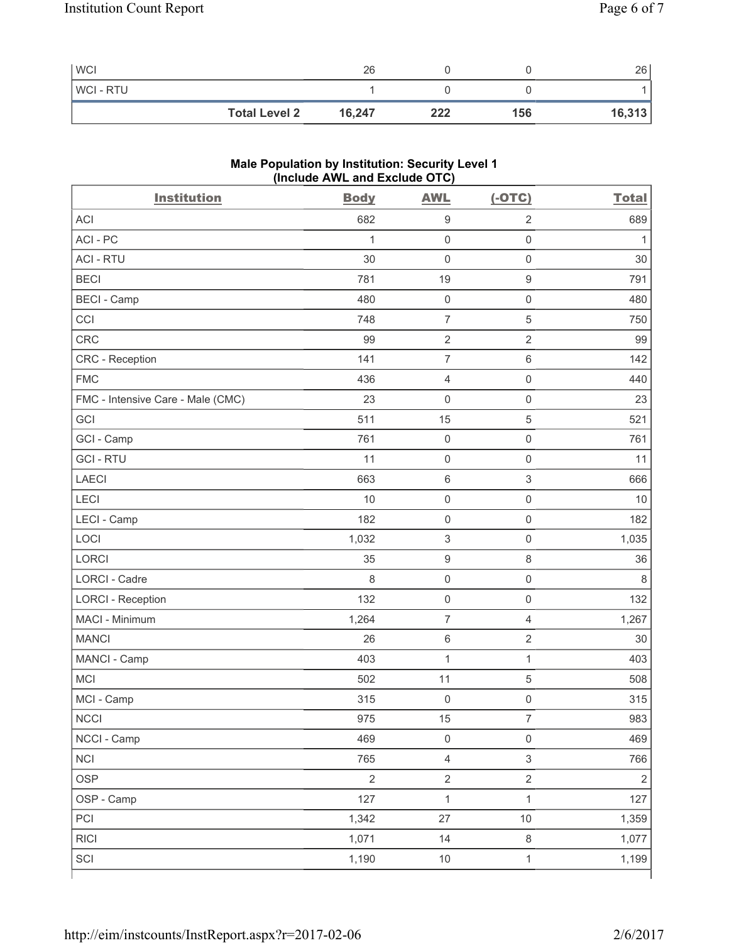| <b>WCI</b>     |                      | 26     |     |     | 26     |
|----------------|----------------------|--------|-----|-----|--------|
| <b>WCI-RTU</b> |                      |        |     |     |        |
|                | <b>Total Level 2</b> | 16,247 | 222 | 156 | 16,313 |

# **Male Population by Institution: Security Level 1 (Include AWL and Exclude OTC)**

| <b>Institution</b>                | <b>Body</b> | <b>AWL</b>                | $(-OTC)$            | <b>Total</b>   |
|-----------------------------------|-------------|---------------------------|---------------------|----------------|
| <b>ACI</b>                        | 682         | $\boldsymbol{9}$          | $\overline{2}$      | 689            |
| ACI-PC                            | 1           | $\mathsf 0$               | $\mathbf 0$         | 1              |
| <b>ACI - RTU</b>                  | 30          | $\mathsf{O}\xspace$       | $\mathbf 0$         | 30             |
| <b>BECI</b>                       | 781         | 19                        | $\mathsf g$         | 791            |
| <b>BECI - Camp</b>                | 480         | $\mathsf 0$               | $\mathbf 0$         | 480            |
| CCI                               | 748         | $\overline{7}$            | $\sqrt{5}$          | 750            |
| <b>CRC</b>                        | 99          | $\sqrt{2}$                | $\sqrt{2}$          | 99             |
| CRC - Reception                   | 141         | $\overline{7}$            | $\,6\,$             | 142            |
| <b>FMC</b>                        | 436         | 4                         | $\mathsf{O}\xspace$ | 440            |
| FMC - Intensive Care - Male (CMC) | 23          | $\mathbf 0$               | $\mathbf 0$         | 23             |
| GCI                               | 511         | 15                        | $\sqrt{5}$          | 521            |
| GCI - Camp                        | 761         | $\mathsf{O}\xspace$       | $\mathsf 0$         | 761            |
| <b>GCI-RTU</b>                    | 11          | $\mathsf{O}\xspace$       | $\mathbf 0$         | 11             |
| <b>LAECI</b>                      | 663         | $\,6\,$                   | 3                   | 666            |
| LECI                              | 10          | $\mathsf 0$               | $\mathbf 0$         | 10             |
| LECI - Camp                       | 182         | $\mathsf 0$               | $\mathbf 0$         | 182            |
| LOCI                              | 1,032       | $\ensuremath{\mathsf{3}}$ | $\mathbf 0$         | 1,035          |
| <b>LORCI</b>                      | 35          | $\boldsymbol{9}$          | 8                   | 36             |
| <b>LORCI - Cadre</b>              | 8           | $\mathsf 0$               | $\mathbf 0$         | 8              |
| <b>LORCI - Reception</b>          | 132         | $\mathsf 0$               | $\mathbf 0$         | 132            |
| MACI - Minimum                    | 1,264       | $\overline{7}$            | $\overline{4}$      | 1,267          |
| <b>MANCI</b>                      | 26          | $\,6\,$                   | $\sqrt{2}$          | 30             |
| MANCI - Camp                      | 403         | $\mathbf 1$               | $\mathbf{1}$        | 403            |
| <b>MCI</b>                        | 502         | 11                        | 5                   | 508            |
| MCI - Camp                        | 315         | $\mathsf 0$               | $\mathsf 0$         | 315            |
| NCCI                              | 975         | 15                        | $\overline{7}$      | 983            |
| NCCI - Camp                       | 469         | $\mathsf{O}\xspace$       | $\mathsf{O}\xspace$ | 469            |
| <b>NCI</b>                        | 765         | $\overline{4}$            | $\mathsf 3$         | 766            |
| <b>OSP</b>                        | $\sqrt{2}$  | $\mathbf 2$               | $\overline{2}$      | $\overline{2}$ |
| OSP - Camp                        | 127         | $\mathbf 1$               | $\mathbf 1$         | 127            |
| PCI                               | 1,342       | 27                        | $10$                | 1,359          |
| RICI                              | 1,071       | 14                        | $\,8\,$             | 1,077          |
| SCI                               | 1,190       | $10$                      | $\mathbf{1}$        | 1,199          |